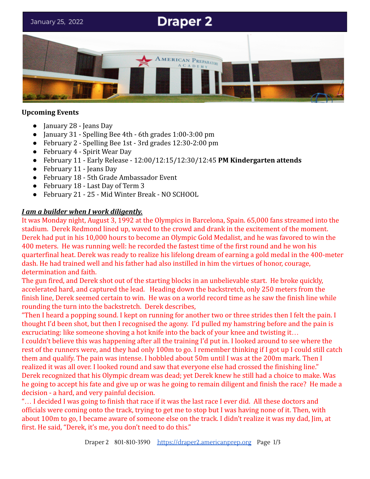# **Draper 2**

January 25, 2022



# **Upcoming Events**

- January 28 Jeans Day
- January 31 Spelling Bee 4th 6th grades  $1:00-3:00$  pm
- February 2 Spelling Bee 1st 3rd grades 12:30-2:00 pm
- February 4 Spirit Wear Day
- February 11 Early Release 12:00/12:15/12:30/12:45 **PM Kindergarten attends**
- February 11 Jeans Day
- February 18 5th Grade Ambassador Event
- February 18 Last Day of Term 3
- February 21 25 Mid Winter Break NO SCHOOL

# *I am a builder when I work diligently.*

It was Monday night, August 3, 1992 at the Olympics in Barcelona, Spain. 65,000 fans streamed into the stadium. Derek Redmond lined up, waved to the crowd and drank in the excitement of the moment. Derek had put in his 10,000 hours to become an Olympic Gold Medalist, and he was favored to win the 400 meters. He was running well: he recorded the fastest time of the first round and he won his quarterfinal heat. Derek was ready to realize his lifelong dream of earning a gold medal in the 400-meter dash. He had trained well and his father had also instilled in him the virtues of honor, courage, determination and faith.

The gun fired, and Derek shot out of the starting blocks in an unbelievable start. He broke quickly, accelerated hard, and captured the lead. Heading down the backstretch, only 250 meters from the finish line, Derek seemed certain to win. He was on a world record time as he saw the finish line while rounding the turn into the backstretch. Derek describes,

"Then I heard a popping sound. I kept on running for another two or three strides then I felt the pain. I thought I'd been shot, but then I recognised the agony. I'd pulled my hamstring before and the pain is excruciating: like someone shoving a hot knife into the back of your knee and twisting it...

I couldn't believe this was happening after all the training I'd put in. I looked around to see where the rest of the runners were, and they had only 100m to go. I remember thinking if I got up I could still catch them and qualify. The pain was intense. I hobbled about 50m until I was at the 200m mark. Then I realized it was all over. I looked round and saw that everyone else had crossed the finishing line." Derek recognized that his Olympic dream was dead; yet Derek knew he still had a choice to make. Was he going to accept his fate and give up or was he going to remain diligent and finish the race? He made a decision - a hard, and very painful decision.

"… I decided I was going to finish that race if it was the last race I ever did. All these doctors and officials were coming onto the track, trying to get me to stop but I was having none of it. Then, with about 100m to go, I became aware of someone else on the track. I didn't realize it was my dad, Jim, at first. He said, "Derek, it's me, you don't need to do this."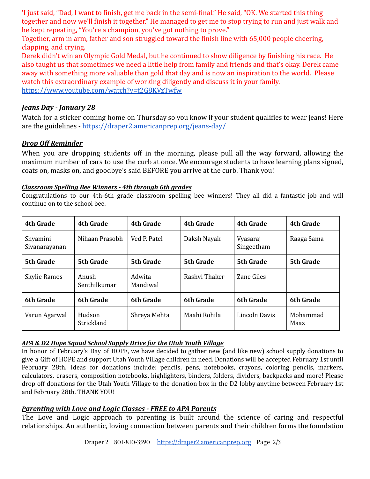'I just said, "Dad, I want to finish, get me back in the semi-final." He said, "OK. We started this thing together and now we'll finish it together." He managed to get me to stop trying to run and just walk and he kept repeating, "You're a champion, you've got nothing to prove."

Together, arm in arm, father and son struggled toward the finish line with 65,000 people cheering, clapping, and crying.

Derek didn't win an Olympic Gold Medal, but he continued to show diligence by finishing his race. He also taught us that sometimes we need a little help from family and friends and that's okay. Derek came away with something more valuable than gold that day and is now an inspiration to the world. Please watch this extraordinary example of working diligently and discuss it in your family. <https://www.youtube.com/watch?v=t2G8KVzTwfw>

## *Jeans Day - January 28*

Watch for a sticker coming home on Thursday so you know if your student qualifies to wear jeans! Here are the guidelines - <https://draper2.americanprep.org/jeans-day/>

## *Drop Off Reminder*

When you are dropping students off in the morning, please pull all the way forward, allowing the maximum number of cars to use the curb at once. We encourage students to have learning plans signed, coats on, masks on, and goodbye's said BEFORE you arrive at the curb. Thank you!

#### *Classroom Spelling Bee Winners - 4th through 6th grades*

Congratulations to our 4th-6th grade classroom spelling bee winners! They all did a fantastic job and will continue on to the school bee.

| 4th Grade                 | <b>4th Grade</b>      | <b>4th Grade</b>   | 4th Grade        | <b>4th Grade</b>       | <b>4th Grade</b> |
|---------------------------|-----------------------|--------------------|------------------|------------------------|------------------|
| Shyamini<br>Sivanarayanan | Nihaan Prasobh        | Ved P. Patel       | Daksh Nayak      | Vyasaraj<br>Singeetham | Raaga Sama       |
| 5th Grade                 | 5th Grade             | 5th Grade          | <b>5th Grade</b> | <b>5th Grade</b>       | 5th Grade        |
| Skylie Ramos              | Anush<br>Senthilkumar | Adwita<br>Mandiwal | Rashvi Thaker    | Zane Giles             |                  |
| 6th Grade                 | <b>6th Grade</b>      | <b>6th Grade</b>   | <b>6th Grade</b> | <b>6th Grade</b>       | <b>6th Grade</b> |
| Varun Agarwal             | Hudson<br>Strickland  | Shreya Mehta       | Maahi Rohila     | Lincoln Davis          | Mohammad<br>Maaz |

#### *APA & D2 Hope Squad School Supply Drive for the Utah Youth Village*

In honor of February's Day of HOPE, we have decided to gather new (and like new) school supply donations to give a Gift of HOPE and support Utah Youth Village children in need. Donations will be accepted February 1st until February 28th. Ideas for donations include: pencils, pens, notebooks, crayons, coloring pencils, markers, calculators, erasers, composition notebooks, highlighters, binders, folders, dividers, backpacks and more! Please drop off donations for the Utah Youth Village to the donation box in the D2 lobby anytime between February 1st and February 28th. THANK YOU!

#### *Parenting with Love and Logic Classes - FREE to APA Parents*

The Love and Logic approach to parenting is built around the science of caring and respectful relationships. An authentic, loving connection between parents and their children forms the foundation